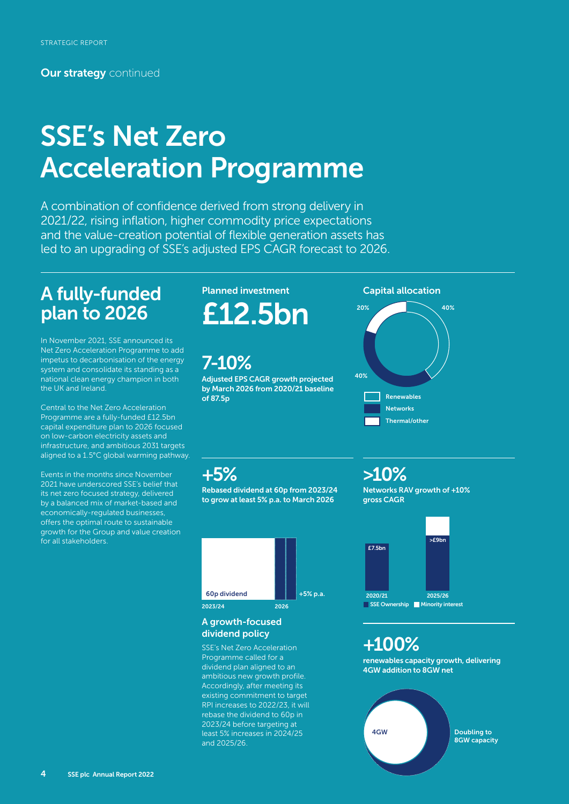**Our strategy** continued

# SSE's Net Zero Acceleration Programme

A combination of confidence derived from strong delivery in 2021/22, rising inflation, higher commodity price expectations and the value-creation potential of flexible generation assets has led to an upgrading of SSE's adjusted EPS CAGR forecast to 2026.

### A fully-funded plan to 2026

In November 2021, SSE announced its Net Zero Acceleration Programme to add impetus to decarbonisation of the energy system and consolidate its standing as a national clean energy champion in both the UK and Ireland.

Central to the Net Zero Acceleration Programme are a fully-funded £12.5bn capital expenditure plan to 2026 focused on low-carbon electricity assets and infrastructure, and ambitious 2031 targets aligned to a 1.5°C global warming pathway.

Events in the months since November 2021 have underscored SSE's belief that its net zero focused strategy, delivered by a balanced mix of market-based and economically-regulated businesses, offers the optimal route to sustainable growth for the Group and value creation for all stakeholders.

### Planned investment

£12.5bn

## 7-10%

Adjusted EPS CAGR growth projected by March 2026 from 2020/21 baseline of 87.5p

#### Capital allocation



### +5%

Rebased dividend at 60p from 2023/24 to grow at least 5% p.a. to March 2026



#### A growth-focused dividend policy

SSE's Net Zero Acceleration Programme called for a dividend plan aligned to an ambitious new growth profile. Accordingly, after meeting its existing commitment to target RPI increases to 2022/23, it will rebase the dividend to 60p in 2023/24 before targeting at least 5% increases in 2024/25 and 2025/26.

### >10%

Networks RAV growth of +10% gross CAGR



### +100%

renewables capacity growth, delivering 4GW addition to 8GW net